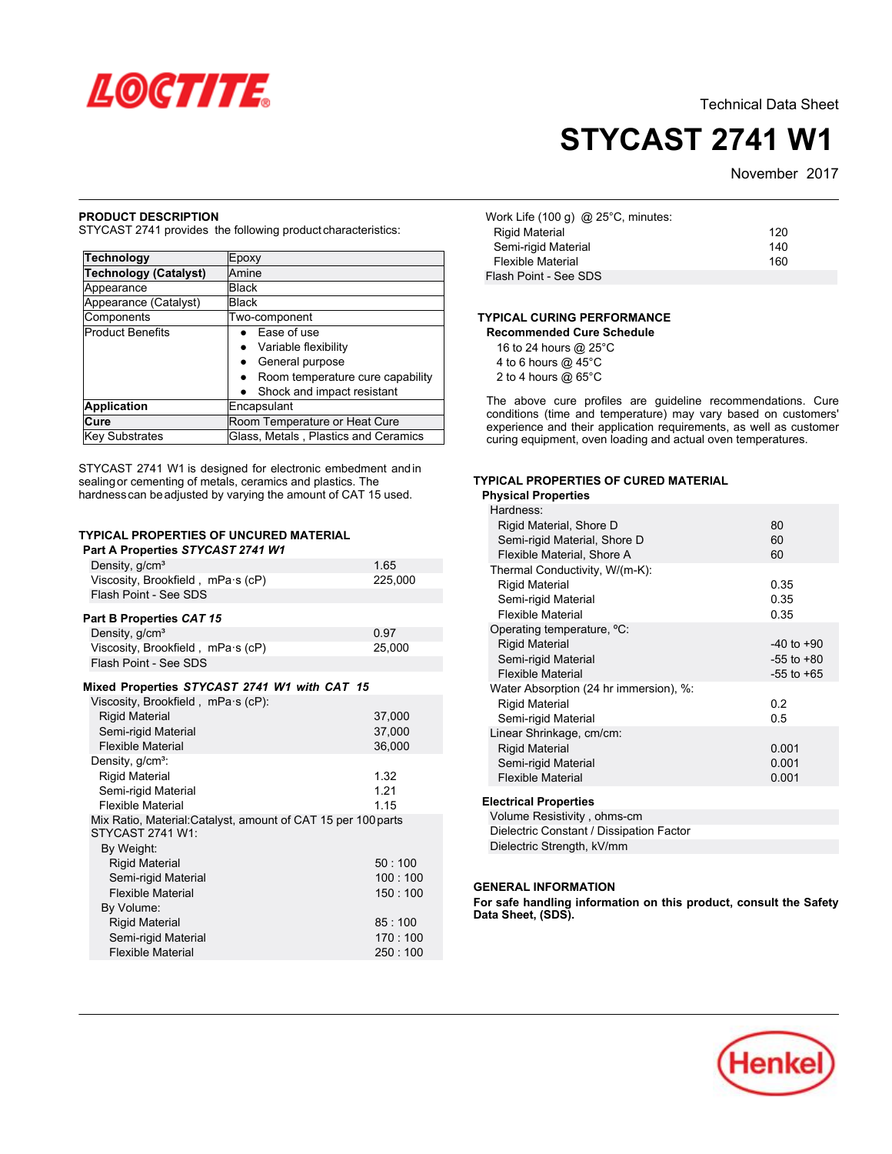

# **STYCAST 2741 W1**

November 2017

### **PRODUCT DESCRIPTION**

STYCAST 2741 provides the following productcharacteristics:

| <b>Technology</b>            | Epoxy                                         |
|------------------------------|-----------------------------------------------|
| <b>Technology (Catalyst)</b> | Amine                                         |
| Appearance                   | Black                                         |
| Appearance (Catalyst)        | <b>Black</b>                                  |
| Components                   | Two-component                                 |
| <b>Product Benefits</b>      | Ease of use                                   |
|                              | Variable flexibility                          |
|                              | General purpose                               |
|                              | Room temperature cure capability<br>$\bullet$ |
|                              | Shock and impact resistant                    |
| <b>Application</b>           | Encapsulant                                   |
| Cure                         | Room Temperature or Heat Cure                 |
| <b>Key Substrates</b>        | Glass, Metals, Plastics and Ceramics          |

STYCAST 2741 W1 is designed for electronic embedment andin sealing or cementing of metals, ceramics and plastics. The hardnesscan beadjusted by varying the amount of CAT 15 used.

#### **TYPICAL PROPERTIES OF UNCURED MATERIAL Part A Properties** *STYCAST 2741 W1*

| 1.711                                                                                                          |                            |
|----------------------------------------------------------------------------------------------------------------|----------------------------|
| Density, g/cm <sup>3</sup>                                                                                     | 1.65                       |
| Viscosity, Brookfield, mPa·s (cP)                                                                              | 225,000                    |
| Flash Point - See SDS                                                                                          |                            |
| Part B Properties CAT 15                                                                                       |                            |
| Density, g/cm <sup>3</sup>                                                                                     | 0.97                       |
| Viscosity, Brookfield, mPa·s (cP)                                                                              | 25,000                     |
| Flash Point - See SDS                                                                                          |                            |
| Mixed Properties STYCAST 2741 W1 with CAT 15                                                                   |                            |
| Viscosity, Brookfield, mPa·s (cP):<br><b>Rigid Material</b><br>Semi-rigid Material<br><b>Flexible Material</b> | 37,000<br>37,000<br>36,000 |
| Density, g/cm <sup>3</sup> :                                                                                   |                            |
| <b>Rigid Material</b>                                                                                          | 1.32                       |
| Semi-rigid Material                                                                                            | 1 2 1                      |
| <b>Flexible Material</b>                                                                                       | 1 15                       |
| Mix Ratio, Material: Catalyst, amount of CAT 15 per 100 parts<br>STYCAST 2741 W1:<br>By Weight:                |                            |
| <b>Rigid Material</b>                                                                                          | 50:100                     |
| Semi-rigid Material                                                                                            | 100:100                    |
| <b>Flexible Material</b>                                                                                       | 150:100                    |
| By Volume:                                                                                                     |                            |
| <b>Rigid Material</b>                                                                                          | 85:100                     |
| Semi-rigid Material                                                                                            | 170:100                    |
| <b>Flexible Material</b>                                                                                       | 250 : 100                  |
|                                                                                                                |                            |

| Work Life (100 g) @ 25°C, minutes: |     |
|------------------------------------|-----|
| <b>Rigid Material</b>              | 120 |
| Semi-rigid Material                | 140 |
| <b>Flexible Material</b>           | 160 |
| Flash Point - See SDS              |     |

## **TYPICAL CURING PERFORMANCE**

| Recommended Cure Schedule |
|---------------------------|
| 16 to 24 hours @ 25°C     |
| 4 to 6 hours $@$ 45 $°C$  |
| 2 to 4 hours $@$ 65 $°C$  |

The above cure profiles are guideline recommendations. Cure conditions (time and temperature) may vary based on customers' experience and their application requirements, as well as customer experience and their application requirements, as well as eas-<br>curing equipment, oven loading and actual oven temperatures.

## **TYPICAL PROPERTIES OF CURED MATERIAL Physical Properties**

| <b>Physical Properties</b>             |                |
|----------------------------------------|----------------|
| Hardness:                              |                |
| Rigid Material, Shore D                | 80             |
| Semi-rigid Material, Shore D           | 60             |
| Flexible Material, Shore A             | 60             |
| Thermal Conductivity, W/(m-K):         |                |
| <b>Rigid Material</b>                  | 0.35           |
| Semi-rigid Material                    | 0.35           |
| <b>Flexible Material</b>               | 0.35           |
| Operating temperature, °C:             |                |
| <b>Rigid Material</b>                  | $-40$ to $+90$ |
| Semi-rigid Material                    | $-55$ to $+80$ |
| <b>Flexible Material</b>               | $-55$ to $+65$ |
| Water Absorption (24 hr immersion), %: |                |
| <b>Rigid Material</b>                  | 0.2            |
| Semi-rigid Material                    | 0.5            |
| Linear Shrinkage, cm/cm:               |                |
| <b>Rigid Material</b>                  | 0.001          |
| Semi-rigid Material                    | 0.001          |
| <b>Flexible Material</b>               | 0.001          |
|                                        |                |
| <b>Electrical Properties</b>           |                |

Volume Resistivity , ohms-cm Dielectric Constant / Dissipation Factor Dielectric Strength, kV/mm

#### **GENERAL INFORMATION**

**For safe handling information on this product, consult the Safety Data Sheet, (SDS).**